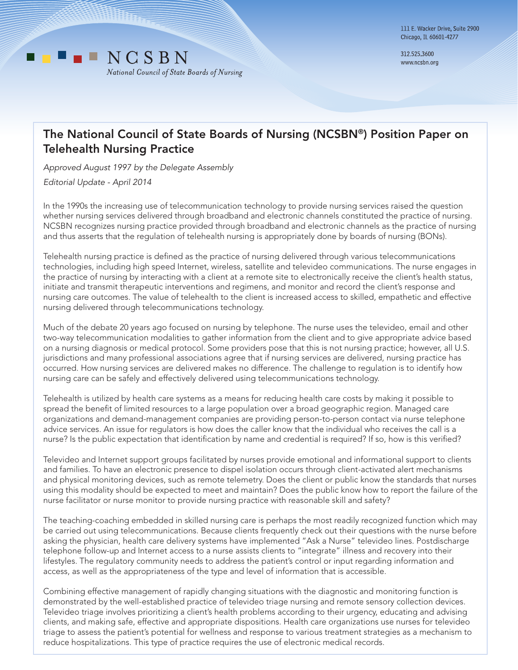

312.525.3600 www.ncsbn.org

## The National Council of State Boards of Nursing (NCSBN®) Position Paper on Telehealth Nursing Practice

*Approved August 1997 by the Delegate Assembly Editorial Update - April 2014*

In the 1990s the increasing use of telecommunication technology to provide nursing services raised the question whether nursing services delivered through broadband and electronic channels constituted the practice of nursing. NCSBN recognizes nursing practice provided through broadband and electronic channels as the practice of nursing and thus asserts that the regulation of telehealth nursing is appropriately done by boards of nursing (BONs).

Telehealth nursing practice is defined as the practice of nursing delivered through various telecommunications technologies, including high speed Internet, wireless, satellite and televideo communications. The nurse engages in the practice of nursing by interacting with a client at a remote site to electronically receive the client's health status, initiate and transmit therapeutic interventions and regimens, and monitor and record the client's response and nursing care outcomes. The value of telehealth to the client is increased access to skilled, empathetic and effective nursing delivered through telecommunications technology.

Much of the debate 20 years ago focused on nursing by telephone. The nurse uses the televideo, email and other two-way telecommunication modalities to gather information from the client and to give appropriate advice based on a nursing diagnosis or medical protocol. Some providers pose that this is not nursing practice; however, all U.S. jurisdictions and many professional associations agree that if nursing services are delivered, nursing practice has occurred. How nursing services are delivered makes no difference. The challenge to regulation is to identify how nursing care can be safely and effectively delivered using telecommunications technology.

Telehealth is utilized by health care systems as a means for reducing health care costs by making it possible to spread the benefit of limited resources to a large population over a broad geographic region. Managed care organizations and demand-management companies are providing person-to-person contact via nurse telephone advice services. An issue for regulators is how does the caller know that the individual who receives the call is a nurse? Is the public expectation that identification by name and credential is required? If so, how is this verified?

Televideo and Internet support groups facilitated by nurses provide emotional and informational support to clients and families. To have an electronic presence to dispel isolation occurs through client-activated alert mechanisms and physical monitoring devices, such as remote telemetry. Does the client or public know the standards that nurses using this modality should be expected to meet and maintain? Does the public know how to report the failure of the nurse facilitator or nurse monitor to provide nursing practice with reasonable skill and safety?

The teaching-coaching embedded in skilled nursing care is perhaps the most readily recognized function which may be carried out using telecommunications. Because clients frequently check out their questions with the nurse before asking the physician, health care delivery systems have implemented "Ask a Nurse" televideo lines. Postdischarge telephone follow-up and Internet access to a nurse assists clients to "integrate" illness and recovery into their lifestyles. The regulatory community needs to address the patient's control or input regarding information and access, as well as the appropriateness of the type and level of information that is accessible.

Combining effective management of rapidly changing situations with the diagnostic and monitoring function is demonstrated by the well-established practice of televideo triage nursing and remote sensory collection devices. Televideo triage involves prioritizing a client's health problems according to their urgency, educating and advising clients, and making safe, effective and appropriate dispositions. Health care organizations use nurses for televideo triage to assess the patient's potential for wellness and response to various treatment strategies as a mechanism to reduce hospitalizations. This type of practice requires the use of electronic medical records.